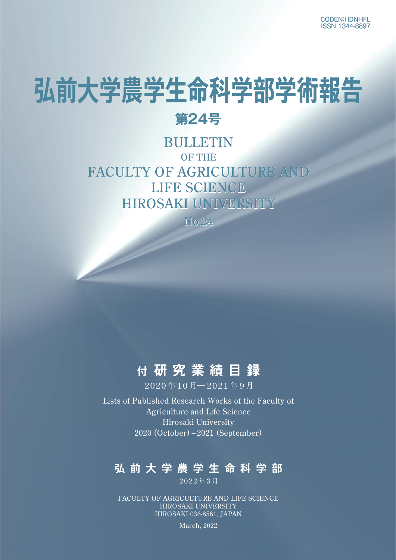# **弘前大学農学生命科学部学術報告**

## **第24号**

## BULLETIN OF THE FACULTY OF AGRICULTURE AND LIFE SCIENCE HIROSAKI UNIVERSITY

N<sub>0.</sub>24

## **付 研究業績目録**

2020年10月―2021年9月

Lists of Published Research Works of the Faculty of Agriculture and Life Science Hirosaki University 2020 (October) – 2021 (September)

## **弘前大学農学生命科学部**

2022年3月

FACULTY OF AGRICULTURE AND LIFE SCIENCE HIROSAKI UNIVERSITY HIROSAKI 036-8561, JAPAN

March, 2022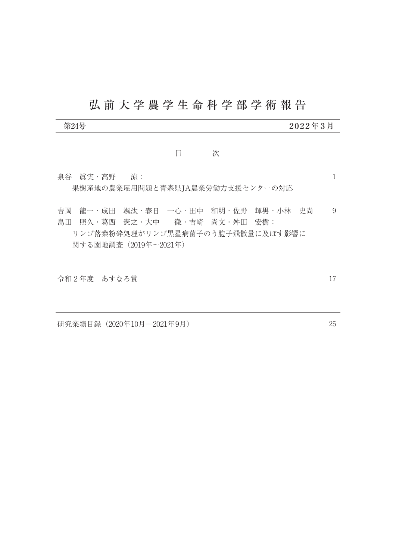# 弘前大学農学生命科学部学術報告

| 第24号                                                                                                                                                |   |   | $2022$ 年 3 月 |   |
|-----------------------------------------------------------------------------------------------------------------------------------------------------|---|---|--------------|---|
|                                                                                                                                                     | E | 次 |              |   |
| 泉谷 真実・高野 清:<br>果樹産地の農業雇用問題と青森県JA農業労働力支援センターの対応                                                                                                      |   |   |              |   |
| 龍一・成田 颯汰・春日 一心・田中 和明・佐野 輝男・小林 史尚<br>吉岡<br>- 照久・葛西 - 憲之・大中 - - 徹・吉崎 - 尚文・舛田 - 宏樹:<br>島田<br>リンゴ落葉粉砕処理がリンゴ黒星病菌子のう胞子飛散量に及ぼす影響に<br>関する園地調査 (2019年~2021年) |   |   |              | 9 |

令和 2 年度 あすなろ賞

研究業績目録(2020年10月―2021年9月)

25

17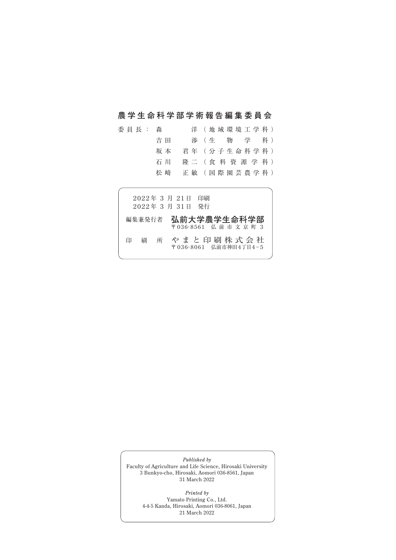### **農学生命科学部学術報告編集委員会**

| 委 員 長 : 森 |     | 洋 (地域環境工学科)           |
|-----------|-----|-----------------------|
|           | 吉 田 | 渉 (生物 学 科)            |
|           | 坂 本 | 君 年 (分 子 生 命 科 学 科 )  |
|           | 石 川 | 隆二 (食料資源学科)           |
|           | 松 﨑 | 正 敏 ( 国 際 園 芸 農 学 科 ) |
|           |     |                       |

|   |        |   | 2022年 3 月 21日<br>2022年 3 月 31日 発行 | 印刷                                 |
|---|--------|---|-----------------------------------|------------------------------------|
|   | 編集兼発行者 |   |                                   | 弘前大学農学生命科学部<br>〒036-8561 弘前市文京町3   |
| 印 | 刷      | 所 |                                   | やまと印刷株式会社<br>〒036-8061 弘前市神田4丁目4-5 |

*Published by* Faculty of Agriculture and Life Science, Hirosaki University 3 Bunkyo-cho, Hirosaki, Aomori 036-8561, Japan 31 March 2022

> *Printed by* Yamato Printing Co., Ltd. 4-4-5 Kanda, Hirosaki, Aomori 036-8061, Japan 21 March 2022